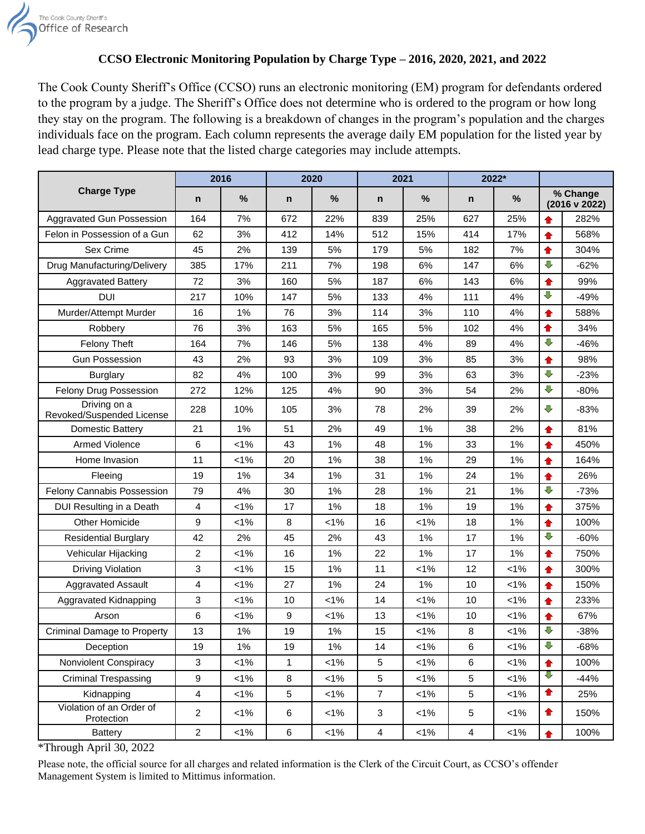

## **CCSO Electronic Monitoring Population by Charge Type – 2016, 2020, 2021, and 2022**

The Cook County Sheriff's Office (CCSO) runs an electronic monitoring (EM) program for defendants ordered to the program by a judge. The Sheriff's Office does not determine who is ordered to the program or how long they stay on the program. The following is a breakdown of changes in the program's population and the charges individuals face on the program. Each column represents the average daily EM population for the listed year by lead charge type. Please note that the listed charge categories may include attempts.

|                                           | 2016             |         | 2020         |               | 2021           |         | 2022*           |         |                                      |        |
|-------------------------------------------|------------------|---------|--------------|---------------|----------------|---------|-----------------|---------|--------------------------------------|--------|
| <b>Charge Type</b>                        | $\mathsf{n}$     | $\%$    | $\mathsf{n}$ | $\frac{0}{0}$ | n              | %       | n               | %       | % Change<br>$(2016 \text{ v } 2022)$ |        |
| Aggravated Gun Possession                 | 164              | 7%      | 672          | 22%           | 839            | 25%     | 627             | 25%     |                                      | 282%   |
| Felon in Possession of a Gun              | 62               | 3%      | 412          | 14%           | 512            | 15%     | 414             | 17%     | ♠                                    | 568%   |
| Sex Crime                                 | 45               | 2%      | 139          | 5%            | 179            | 5%      | 182             | 7%      | ♠                                    | 304%   |
| Drug Manufacturing/Delivery               | 385              | 17%     | 211          | 7%            | 198            | 6%      | 147             | 6%      | $\overline{\mathbb{Q}}$              | $-62%$ |
| <b>Aggravated Battery</b>                 | 72               | 3%      | 160          | 5%            | 187            | 6%      | 143             | 6%      | ✿                                    | 99%    |
| <b>DUI</b>                                | 217              | 10%     | 147          | 5%            | 133            | 4%      | 111             | 4%      | ⇩                                    | $-49%$ |
| Murder/Attempt Murder                     | 16               | 1%      | 76           | 3%            | 114            | 3%      | 110             | 4%      | ♠                                    | 588%   |
| Robbery                                   | 76               | 3%      | 163          | 5%            | 165            | 5%      | 102             | 4%      | ♠                                    | 34%    |
| <b>Felony Theft</b>                       | 164              | 7%      | 146          | 5%            | 138            | 4%      | 89              | 4%      | ⇩                                    | $-46%$ |
| <b>Gun Possession</b>                     | 43               | 2%      | 93           | 3%            | 109            | 3%      | 85              | 3%      | ♠                                    | 98%    |
| <b>Burglary</b>                           | 82               | 4%      | 100          | 3%            | 99             | 3%      | 63              | 3%      | $\overline{\mathbb{C}}$              | $-23%$ |
| Felony Drug Possession                    | 272              | 12%     | 125          | 4%            | 90             | 3%      | 54              | 2%      | $\overline{\mathbb{C}}$              | $-80%$ |
| Driving on a<br>Revoked/Suspended License | 228              | 10%     | 105          | 3%            | 78             | 2%      | 39              | 2%      | ⇩                                    | $-83%$ |
| <b>Domestic Battery</b>                   | 21               | 1%      | 51           | 2%            | 49             | 1%      | 38              | 2%      | ♠                                    | 81%    |
| <b>Armed Violence</b>                     | 6                | $< 1\%$ | 43           | 1%            | 48             | 1%      | 33              | 1%      | ♠                                    | 450%   |
| Home Invasion                             | 11               | $< 1\%$ | 20           | 1%            | 38             | 1%      | 29              | 1%      | ♠                                    | 164%   |
| Fleeing                                   | 19               | 1%      | 34           | 1%            | 31             | 1%      | 24              | 1%      | ♠                                    | 26%    |
| Felony Cannabis Possession                | 79               | 4%      | 30           | 1%            | 28             | 1%      | 21              | 1%      | ⇩                                    | $-73%$ |
| DUI Resulting in a Death                  | $\overline{4}$   | $< 1\%$ | 17           | 1%            | 18             | 1%      | 19              | 1%      | ✿                                    | 375%   |
| Other Homicide                            | 9                | $< 1\%$ | 8            | $< 1\%$       | 16             | $< 1\%$ | 18              | 1%      | ♠                                    | 100%   |
| <b>Residential Burglary</b>               | 42               | 2%      | 45           | 2%            | 43             | 1%      | 17              | 1%      | $\overline{\mathbb{Q}}$              | $-60%$ |
| Vehicular Hijacking                       | 2                | $< 1\%$ | 16           | 1%            | 22             | 1%      | 17              | 1%      | ✿                                    | 750%   |
| <b>Driving Violation</b>                  | 3                | $< 1\%$ | 15           | 1%            | 11             | $< 1\%$ | 12              | $< 1\%$ | ♠                                    | 300%   |
| <b>Aggravated Assault</b>                 | 4                | $< 1\%$ | 27           | 1%            | 24             | 1%      | 10              | $< 1\%$ | ♠                                    | 150%   |
| Aggravated Kidnapping                     | 3                | $< 1\%$ | 10           | $< 1\%$       | 14             | $< 1\%$ | 10              | $1\%$   | ✿                                    | 233%   |
| Arson                                     | 6                | $< 1\%$ | 9            | $< 1\%$       | 13             | $< 1\%$ | 10              | $< 1\%$ | 合                                    | 67%    |
| <b>Criminal Damage to Property</b>        | 13               | 1%      | 19           | 1%            | 15             | $< 1\%$ | 8               | $< 1\%$ | ⇩                                    | $-38%$ |
| Deception                                 | 19               | 1%      | 19           | $1\%$         | 14             | $< 1\%$ | 6               | $< 1\%$ | $\bigodot$                           | $-68%$ |
| Nonviolent Conspiracy                     | 3                | $< 1\%$ | $\mathbf{1}$ | $< 1\%$       | 5              | $< 1\%$ | 6               | $< 1\%$ | $\bullet$                            | 100%   |
| <b>Criminal Trespassing</b>               | $\boldsymbol{9}$ | $< 1\%$ | 8            | $< 1\%$       | 5              | $< 1\%$ | $5\phantom{.0}$ | $< 1\%$ | ⇩                                    | $-44%$ |
| Kidnapping                                | $\overline{4}$   | $< 1\%$ | 5            | $< 1\%$       | $\overline{7}$ | 1%      | 5               | $< 1\%$ | ✿                                    | 25%    |
| Violation of an Order of<br>Protection    | $\overline{2}$   | $< 1\%$ | 6            | $< 1\%$       | 3              | 1%      | 5               | $< 1\%$ | $\bullet$                            | 150%   |
| <b>Battery</b>                            | $\overline{c}$   | $1\%$   | $\,6\,$      | 1%            | 4              | 1%      | 4               | $< 1\%$ | $\bullet$                            | 100%   |

\*Through April 30, 2022

Please note, the official source for all charges and related information is the Clerk of the Circuit Court, as CCSO's offender Management System is limited to Mittimus information.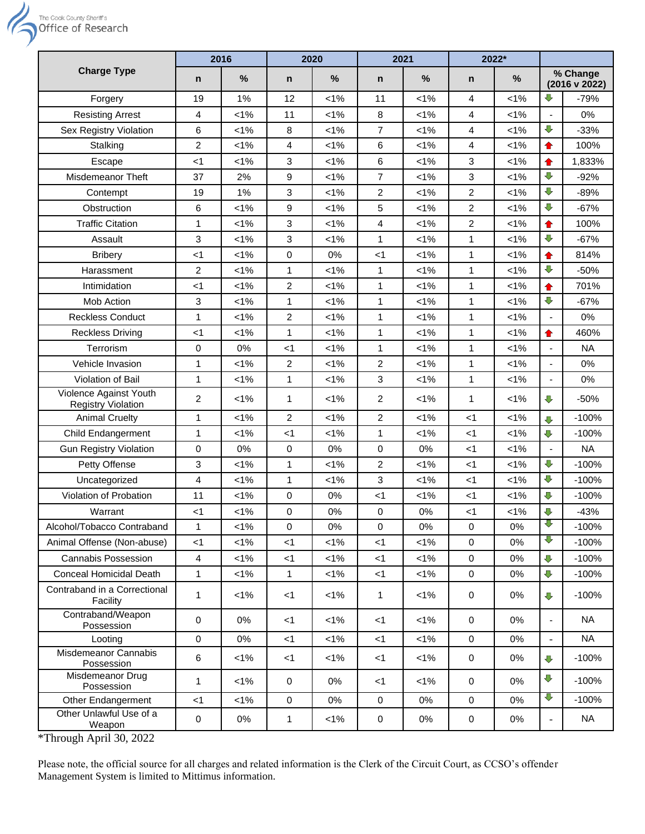

|                                                             | 2016           |         | 2020           |               | 2021           |         | 2022*          |         |                           |           |
|-------------------------------------------------------------|----------------|---------|----------------|---------------|----------------|---------|----------------|---------|---------------------------|-----------|
| <b>Charge Type</b>                                          | n              | $\%$    | n              | $\frac{0}{0}$ | n              | %       | n              | %       | % Change<br>(2016 v 2022) |           |
| Forgery                                                     | 19             | 1%      | 12             | $< 1\%$       | 11             | $< 1\%$ | 4              | $< 1\%$ | ⇩                         | $-79%$    |
| <b>Resisting Arrest</b>                                     | 4              | $< 1\%$ | 11             | $< 1\%$       | 8              | 1%      | 4              | $< 1\%$ |                           | 0%        |
| Sex Registry Violation                                      | 6              | 1%      | 8              | 1%            | $\overline{7}$ | $< 1\%$ | 4              | $< 1\%$ | $\sqrt{2}$                | $-33%$    |
| Stalking                                                    | 2              | $< 1\%$ | 4              | $< 1\%$       | 6              | $< 1\%$ | 4              | $< 1\%$ | $\bullet$                 | 100%      |
| Escape                                                      | $<$ 1          | $< 1\%$ | 3              | $< 1\%$       | 6              | $< 1\%$ | 3              | $< 1\%$ | ♠                         | 1,833%    |
| Misdemeanor Theft                                           | 37             | 2%      | 9              | $< 1\%$       | 7              | $< 1\%$ | 3              | $< 1\%$ | $\overline{U}$            | $-92%$    |
| Contempt                                                    | 19             | 1%      | 3              | $< 1\%$       | 2              | $< 1\%$ | 2              | $< 1\%$ | $\overline{U}$            | $-89%$    |
| Obstruction                                                 | 6              | $< 1\%$ | 9              | $< 1\%$       | 5              | $< 1\%$ | $\overline{2}$ | $< 1\%$ | $\overline{\mathbb{C}}$   | $-67%$    |
| <b>Traffic Citation</b>                                     | 1              | $< 1\%$ | 3              | $< 1\%$       | 4              | $< 1\%$ | $\overline{2}$ | $< 1\%$ | $\bullet$                 | 100%      |
| Assault                                                     | 3              | $< 1\%$ | 3              | $< 1\%$       | $\mathbf{1}$   | $< 1\%$ | $\mathbf{1}$   | $< 1\%$ | $\overline{\mathbb{C}}$   | $-67%$    |
| <b>Bribery</b>                                              | $<$ 1          | $< 1\%$ | 0              | 0%            | <1             | $< 1\%$ | $\mathbf{1}$   | $< 1\%$ | ✿                         | 814%      |
| Harassment                                                  | $\overline{2}$ | $< 1\%$ | $\mathbf{1}$   | $< 1\%$       | 1              | $< 1\%$ | $\mathbf{1}$   | $< 1\%$ | $\overline{\mathbb{C}}$   | $-50%$    |
| Intimidation                                                | $<$ 1          | $< 1\%$ | 2              | $< 1\%$       | 1              | $< 1\%$ | $\mathbf{1}$   | $< 1\%$ | $\bullet$                 | 701%      |
| Mob Action                                                  | 3              | $< 1\%$ | 1              | $< 1\%$       | 1              | $< 1\%$ | 1              | $< 1\%$ | $\overline{U}$            | $-67%$    |
| <b>Reckless Conduct</b>                                     | 1              | $< 1\%$ | 2              | $< 1\%$       | 1              | $< 1\%$ | 1              | $< 1\%$ | $\overline{\phantom{a}}$  | 0%        |
| <b>Reckless Driving</b>                                     | <1             | $< 1\%$ | $\mathbf{1}$   | $< 1\%$       | 1              | $< 1\%$ | $\mathbf{1}$   | $< 1\%$ | ♠                         | 460%      |
| Terrorism                                                   | 0              | 0%      | $<$ 1          | $< 1\%$       | 1              | $< 1\%$ | 1              | $< 1\%$ |                           | <b>NA</b> |
| Vehicle Invasion                                            | 1              | $< 1\%$ | 2              | $< 1\%$       | $\overline{c}$ | $< 1\%$ | $\mathbf{1}$   | $< 1\%$ |                           | 0%        |
| Violation of Bail                                           | 1              | $< 1\%$ | $\mathbf{1}$   | $< 1\%$       | 3              | $< 1\%$ | 1              | $< 1\%$ | $\overline{\phantom{a}}$  | 0%        |
| Violence Against Youth<br><b>Registry Violation</b>         | $\overline{2}$ | $< 1\%$ | 1              | $< 1\%$       | 2              | $< 1\%$ | 1              | $< 1\%$ | ⇩                         | $-50%$    |
| <b>Animal Cruelty</b>                                       | 1              | $< 1\%$ | $\overline{2}$ | $< 1\%$       | $\overline{c}$ | 1%      | <1             | $< 1\%$ | $\overline{\mathbb{C}}$   | $-100%$   |
| Child Endangerment                                          | 1              | $< 1\%$ | $<$ 1          | 1%            | $\mathbf{1}$   | $< 1\%$ | $<$ 1          | $< 1\%$ | $\overline{v}$            | $-100%$   |
| <b>Gun Registry Violation</b>                               | 0              | 0%      | $\mathbf 0$    | 0%            | 0              | 0%      | <1             | $< 1\%$ |                           | <b>NA</b> |
| Petty Offense                                               | 3              | $< 1\%$ | 1              | $< 1\%$       | 2              | $< 1\%$ | <1             | $< 1\%$ | $\overline{\mathbb{C}}$   | $-100%$   |
| Uncategorized                                               | 4              | $< 1\%$ | 1              | $< 1\%$       | 3              | $< 1\%$ | <1             | $< 1\%$ | ⇩                         | $-100%$   |
| Violation of Probation                                      | 11             | $< 1\%$ | 0              | 0%            | <1             | $< 1\%$ | <1             | $< 1\%$ | ⇩                         | $-100%$   |
| Warrant                                                     | <1             | $< 1\%$ | 0              | 0%            | 0              | 0%      | $<$ 1          | $< 1\%$ | ⇩                         | $-43%$    |
| Alcohol/Tobacco Contraband                                  | 1              | $< 1\%$ | 0              | 0%            | 0              | 0%      | 0              | 0%      | V                         | $-100%$   |
| Animal Offense (Non-abuse)                                  | < 1            | $< 1\%$ | $<$ 1          | $< 1\%$       | $<$ 1          | $< 1\%$ | 0              | 0%      | ⇩                         | $-100%$   |
| <b>Cannabis Possession</b>                                  | $\overline{4}$ | $< 1\%$ | $<$ 1          | $< 1\%$       | $<$ 1          | $< 1\%$ | $\pmb{0}$      | 0%      | $\overline{\mathbb{C}}$   | $-100%$   |
| <b>Conceal Homicidal Death</b>                              | $\mathbf{1}$   | $< 1\%$ | $\mathbf{1}$   | $< 1\%$       | $<$ 1          | 1%      | $\mathbf 0$    | $0\%$   | $\overline{\mathbb{C}}$   | $-100%$   |
| Contraband in a Correctional<br>Facility                    | 1              | $< 1\%$ | $<$ 1          | $< 1\%$       | 1              | $< 1\%$ | 0              | $0\%$   | $\overline{\mathbb{C}}$   | $-100%$   |
| Contraband/Weapon<br>Possession                             | $\mathbf 0$    | 0%      | $<$ 1          | $< 1\%$       | $<$ 1          | 1%      | 0              | $0\%$   | $\overline{\phantom{a}}$  | <b>NA</b> |
| Looting                                                     | $\mathbf 0$    | 0%      | $<$ 1          | $< 1\%$       | <1             | 1%      | 0              | $0\%$   | $\overline{\phantom{a}}$  | <b>NA</b> |
| Misdemeanor Cannabis<br>Possession                          | 6              | $< 1\%$ | $<$ 1          | $< 1\%$       | $<$ 1          | 1%      | 0              | $0\%$   | ⇩                         | $-100%$   |
| Misdemeanor Drug<br>Possession                              | $\mathbf{1}$   | $< 1\%$ | $\mathbf 0$    | 0%            | $<$ 1          | 1%      | 0              | 0%      | $\overline{\mathbb{C}}$   | $-100%$   |
| Other Endangerment                                          | < 1            | $< 1\%$ | $\mathbf 0$    | 0%            | $\mathbf 0$    | 0%      | $\pmb{0}$      | 0%      | $\overline{\mathbb{Q}}$   | $-100%$   |
| Other Unlawful Use of a<br>Weapon<br>$*Th$ wayah Anii 20000 | $\pmb{0}$      | 0%      | 1              | $< 1\%$       | 0              | 0%      | 0              | 0%      | $\overline{\phantom{a}}$  | <b>NA</b> |

\*Through April 30, 2022

Please note, the official source for all charges and related information is the Clerk of the Circuit Court, as CCSO's offender Management System is limited to Mittimus information.